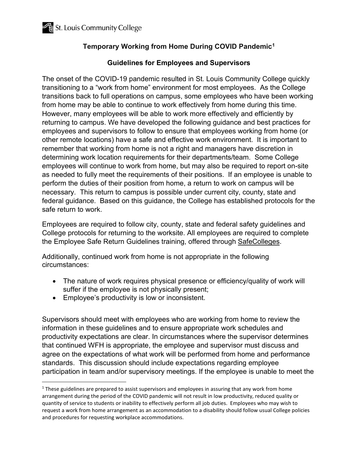## **Temporary Working from Home During COVID Pandemic[1](#page-0-0)**

## **Guidelines for Employees and Supervisors**

The onset of the COVID-19 pandemic resulted in St. Louis Community College quickly transitioning to a "work from home" environment for most employees. As the College transitions back to full operations on campus, some employees who have been working from home may be able to continue to work effectively from home during this time. However, many employees will be able to work more effectively and efficiently by returning to campus. We have developed the following guidance and best practices for employees and supervisors to follow to ensure that employees working from home (or other remote locations) have a safe and effective work environment. It is important to remember that working from home is not a right and managers have discretion in determining work location requirements for their departments/team. Some College employees will continue to work from home, but may also be required to report on-site as needed to fully meet the requirements of their positions. If an employee is unable to perform the duties of their position from home, a return to work on campus will be necessary. This return to campus is possible under current city, county, state and federal guidance. Based on this guidance, the College has established protocols for the safe return to work.

Employees are required to follow city, county, state and federal safety guidelines and College protocols for returning to the worksite. All employees are required to complete the Employee Safe Return Guidelines training, offered through [SafeColleges.](https://stlcc-mo.safecolleges.com/login)

Additionally, continued work from home is not appropriate in the following circumstances:

- The nature of work requires physical presence or efficiency/quality of work will suffer if the employee is not physically present;
- Employee's productivity is low or inconsistent.

Supervisors should meet with employees who are working from home to review the information in these guidelines and to ensure appropriate work schedules and productivity expectations are clear. In circumstances where the supervisor determines that continued WFH is appropriate, the employee and supervisor must discuss and agree on the expectations of what work will be performed from home and performance standards. This discussion should include expectations regarding employee participation in team and/or supervisory meetings. If the employee is unable to meet the

<span id="page-0-0"></span> $1$  These guidelines are prepared to assist supervisors and employees in assuring that any work from home arrangement during the period of the COVID pandemic will not result in low productivity, reduced quality or quantity of service to students or inability to effectively perform all job duties. Employees who may wish to request a work from home arrangement as an accommodation to a disability should follow usual College policies and procedures for requesting workplace accommodations.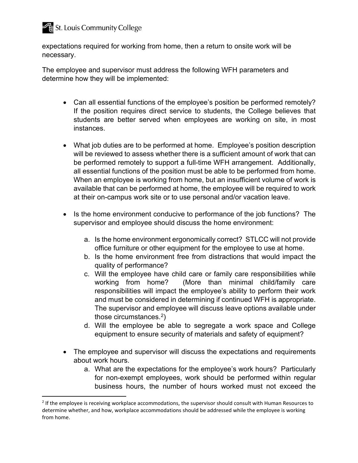

expectations required for working from home, then a return to onsite work will be necessary.

The employee and supervisor must address the following WFH parameters and determine how they will be implemented:

- Can all essential functions of the employee's position be performed remotely? If the position requires direct service to students, the College believes that students are better served when employees are working on site, in most instances.
- What job duties are to be performed at home. Employee's position description will be reviewed to assess whether there is a sufficient amount of work that can be performed remotely to support a full-time WFH arrangement. Additionally, all essential functions of the position must be able to be performed from home. When an employee is working from home, but an insufficient volume of work is available that can be performed at home, the employee will be required to work at their on-campus work site or to use personal and/or vacation leave.
- Is the home environment conducive to performance of the job functions? The supervisor and employee should discuss the home environment:
	- a. Is the home environment ergonomically correct? STLCC will not provide office furniture or other equipment for the employee to use at home.
	- b. Is the home environment free from distractions that would impact the quality of performance?
	- c. Will the employee have child care or family care responsibilities while working from home? (More than minimal child/family care responsibilities will impact the employee's ability to perform their work and must be considered in determining if continued WFH is appropriate. The supervisor and employee will discuss leave options available under those circumstances.<sup>2</sup>)
	- d. Will the employee be able to segregate a work space and College equipment to ensure security of materials and safety of equipment?
- The employee and supervisor will discuss the expectations and requirements about work hours.
	- a. What are the expectations for the employee's work hours? Particularly for non-exempt employees, work should be performed within regular business hours, the number of hours worked must not exceed the

<span id="page-1-0"></span><sup>&</sup>lt;sup>2</sup> If the employee is receiving workplace accommodations, the supervisor should consult with Human Resources to determine whether, and how, workplace accommodations should be addressed while the employee is working from home.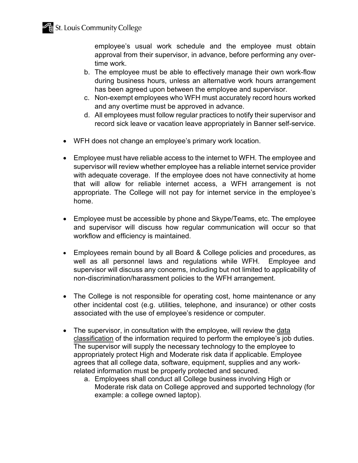employee's usual work schedule and the employee must obtain approval from their supervisor, in advance, before performing any overtime work.

- b. The employee must be able to effectively manage their own work-flow during business hours, unless an alternative work hours arrangement has been agreed upon between the employee and supervisor.
- c. Non-exempt employees who WFH must accurately record hours worked and any overtime must be approved in advance.
- d. All employees must follow regular practices to notify their supervisor and record sick leave or vacation leave appropriately in Banner self-service.
- WFH does not change an employee's primary work location.
- Employee must have reliable access to the internet to WFH. The employee and supervisor will review whether employee has a reliable internet service provider with adequate coverage. If the employee does not have connectivity at home that will allow for reliable internet access, a WFH arrangement is not appropriate. The College will not pay for internet service in the employee's home.
- Employee must be accessible by phone and Skype/Teams, etc. The employee and supervisor will discuss how regular communication will occur so that workflow and efficiency is maintained.
- Employees remain bound by all Board & College policies and procedures, as well as all personnel laws and regulations while WFH. Employee and supervisor will discuss any concerns, including but not limited to applicability of non-discrimination/harassment policies to the WFH arrangement.
- The College is not responsible for operating cost, home maintenance or any other incidental cost (e.g. utilities, telephone, and insurance) or other costs associated with the use of employee's residence or computer.
- The supervisor, in consultation with the employee, will review the [data](https://stlcc.edu/departments/information-technology/infosec/dataclassification.aspx)  [classification](https://stlcc.edu/departments/information-technology/infosec/dataclassification.aspx) of the information required to perform the employee's job duties. The supervisor will supply the necessary technology to the employee to appropriately protect High and Moderate risk data if applicable. Employee agrees that all college data, software, equipment, supplies and any workrelated information must be properly protected and secured.
	- a. Employees shall conduct all College business involving High or Moderate risk data on College approved and supported technology (for example: a college owned laptop).